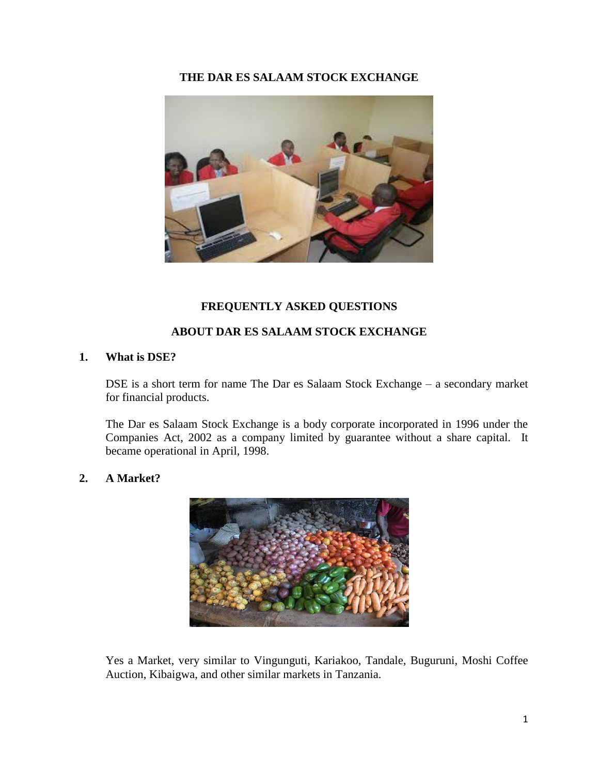## **THE DAR ES SALAAM STOCK EXCHANGE**



## **FREQUENTLY ASKED QUESTIONS**

## **ABOUT DAR ES SALAAM STOCK EXCHANGE**

### **1. What is DSE?**

DSE is a short term for name The Dar es Salaam Stock Exchange – a secondary market for financial products.

The Dar es Salaam Stock Exchange is a body corporate incorporated in 1996 under the Companies Act, 2002 as a company limited by guarantee without a share capital. It became operational in April, 1998.

### **2. A Market?**



Yes a Market, very similar to Vingunguti, Kariakoo, Tandale, Buguruni, Moshi Coffee Auction, Kibaigwa, and other similar markets in Tanzania.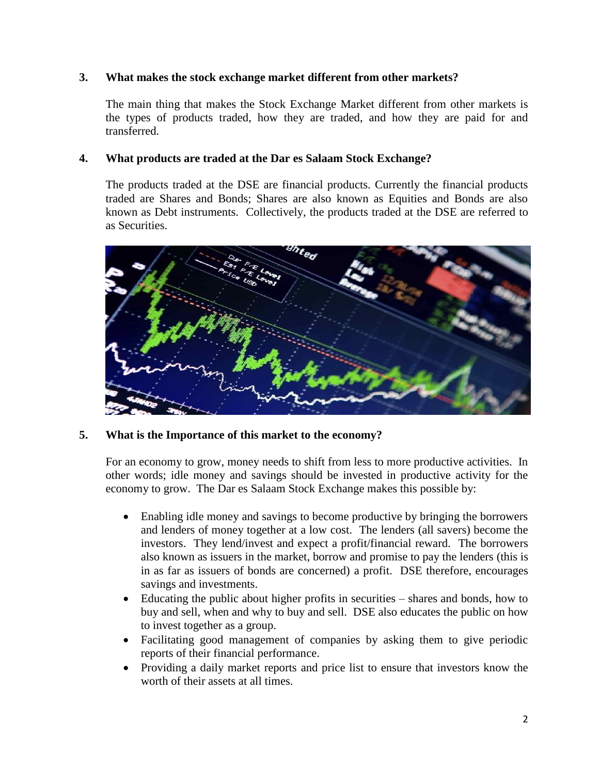## **3. What makes the stock exchange market different from other markets?**

The main thing that makes the Stock Exchange Market different from other markets is the types of products traded, how they are traded, and how they are paid for and transferred.

### **4. What products are traded at the Dar es Salaam Stock Exchange?**

The products traded at the DSE are financial products. Currently the financial products traded are Shares and Bonds; Shares are also known as Equities and Bonds are also known as Debt instruments. Collectively, the products traded at the DSE are referred to as Securities.



## **5. What is the Importance of this market to the economy?**

For an economy to grow, money needs to shift from less to more productive activities. In other words; idle money and savings should be invested in productive activity for the economy to grow. The Dar es Salaam Stock Exchange makes this possible by:

- Enabling idle money and savings to become productive by bringing the borrowers and lenders of money together at a low cost. The lenders (all savers) become the investors. They lend/invest and expect a profit/financial reward. The borrowers also known as issuers in the market, borrow and promise to pay the lenders (this is in as far as issuers of bonds are concerned) a profit. DSE therefore, encourages savings and investments.
- Educating the public about higher profits in securities shares and bonds, how to buy and sell, when and why to buy and sell. DSE also educates the public on how to invest together as a group.
- Facilitating good management of companies by asking them to give periodic reports of their financial performance.
- Providing a daily market reports and price list to ensure that investors know the worth of their assets at all times.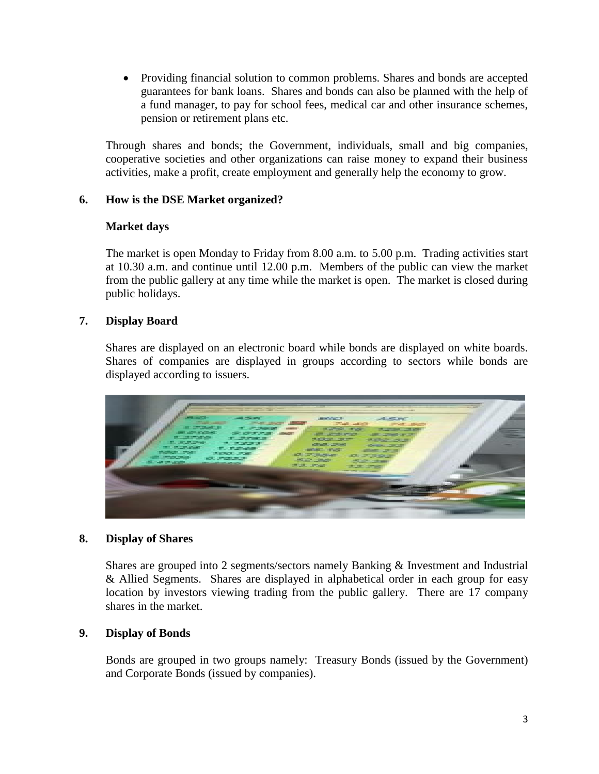• Providing financial solution to common problems. Shares and bonds are accepted guarantees for bank loans. Shares and bonds can also be planned with the help of a fund manager, to pay for school fees, medical car and other insurance schemes, pension or retirement plans etc.

Through shares and bonds; the Government, individuals, small and big companies, cooperative societies and other organizations can raise money to expand their business activities, make a profit, create employment and generally help the economy to grow.

## **6. How is the DSE Market organized?**

# **Market days**

The market is open Monday to Friday from 8.00 a.m. to 5.00 p.m. Trading activities start at 10.30 a.m. and continue until 12.00 p.m. Members of the public can view the market from the public gallery at any time while the market is open. The market is closed during public holidays.

# **7. Display Board**

Shares are displayed on an electronic board while bonds are displayed on white boards. Shares of companies are displayed in groups according to sectors while bonds are displayed according to issuers.



## **8. Display of Shares**

Shares are grouped into 2 segments/sectors namely Banking & Investment and Industrial & Allied Segments. Shares are displayed in alphabetical order in each group for easy location by investors viewing trading from the public gallery. There are 17 company shares in the market.

## **9. Display of Bonds**

Bonds are grouped in two groups namely: Treasury Bonds (issued by the Government) and Corporate Bonds (issued by companies).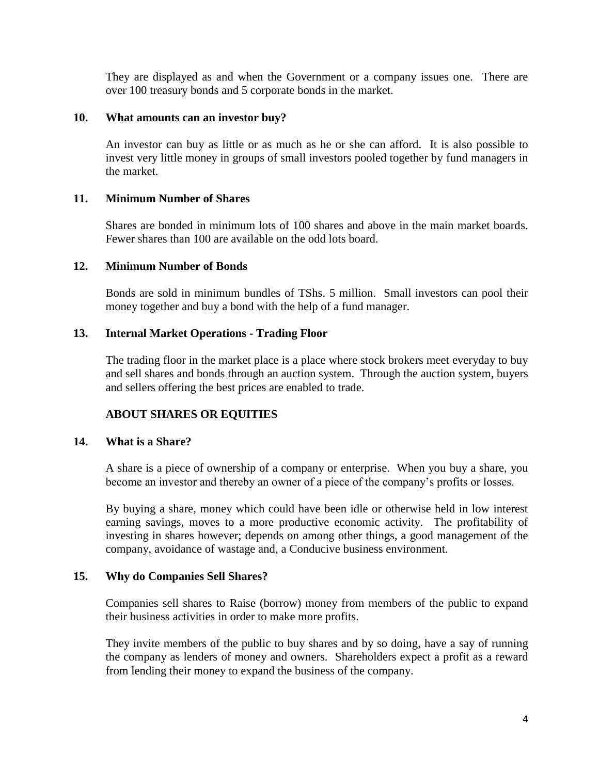They are displayed as and when the Government or a company issues one. There are over 100 treasury bonds and 5 corporate bonds in the market.

#### **10. What amounts can an investor buy?**

An investor can buy as little or as much as he or she can afford. It is also possible to invest very little money in groups of small investors pooled together by fund managers in the market.

### **11. Minimum Number of Shares**

Shares are bonded in minimum lots of 100 shares and above in the main market boards. Fewer shares than 100 are available on the odd lots board.

### **12. Minimum Number of Bonds**

Bonds are sold in minimum bundles of TShs. 5 million. Small investors can pool their money together and buy a bond with the help of a fund manager.

### **13. Internal Market Operations - Trading Floor**

The trading floor in the market place is a place where stock brokers meet everyday to buy and sell shares and bonds through an auction system. Through the auction system, buyers and sellers offering the best prices are enabled to trade.

## **ABOUT SHARES OR EQUITIES**

### **14. What is a Share?**

A share is a piece of ownership of a company or enterprise. When you buy a share, you become an investor and thereby an owner of a piece of the company's profits or losses.

By buying a share, money which could have been idle or otherwise held in low interest earning savings, moves to a more productive economic activity. The profitability of investing in shares however; depends on among other things, a good management of the company, avoidance of wastage and, a Conducive business environment.

#### **15. Why do Companies Sell Shares?**

Companies sell shares to Raise (borrow) money from members of the public to expand their business activities in order to make more profits.

They invite members of the public to buy shares and by so doing, have a say of running the company as lenders of money and owners. Shareholders expect a profit as a reward from lending their money to expand the business of the company.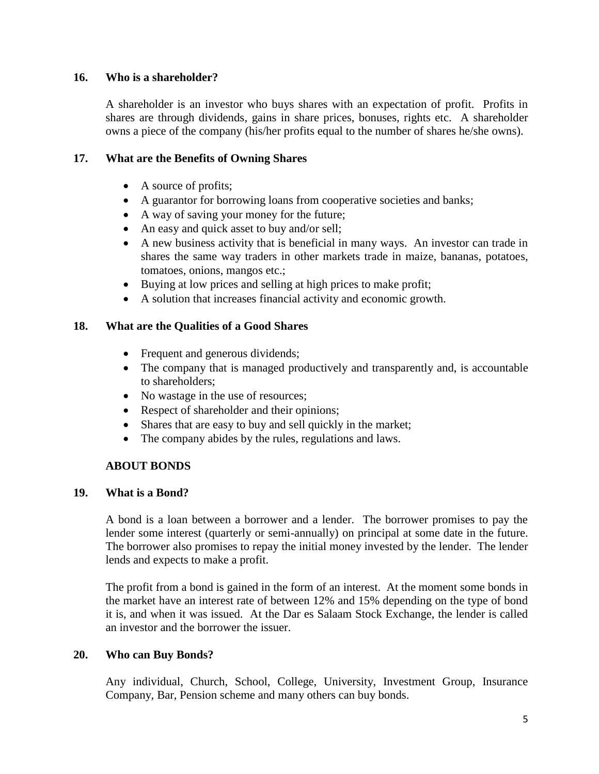## **16. Who is a shareholder?**

A shareholder is an investor who buys shares with an expectation of profit. Profits in shares are through dividends, gains in share prices, bonuses, rights etc. A shareholder owns a piece of the company (his/her profits equal to the number of shares he/she owns).

## **17. What are the Benefits of Owning Shares**

- A source of profits;
- A guarantor for borrowing loans from cooperative societies and banks;
- A way of saving your money for the future;
- An easy and quick asset to buy and/or sell;
- A new business activity that is beneficial in many ways. An investor can trade in shares the same way traders in other markets trade in maize, bananas, potatoes, tomatoes, onions, mangos etc.;
- Buying at low prices and selling at high prices to make profit;
- A solution that increases financial activity and economic growth.

## **18. What are the Qualities of a Good Shares**

- Frequent and generous dividends;
- The company that is managed productively and transparently and, is accountable to shareholders;
- No wastage in the use of resources;
- Respect of shareholder and their opinions;
- Shares that are easy to buy and sell quickly in the market;
- The company abides by the rules, regulations and laws.

## **ABOUT BONDS**

### **19. What is a Bond?**

A bond is a loan between a borrower and a lender. The borrower promises to pay the lender some interest (quarterly or semi-annually) on principal at some date in the future. The borrower also promises to repay the initial money invested by the lender. The lender lends and expects to make a profit.

The profit from a bond is gained in the form of an interest. At the moment some bonds in the market have an interest rate of between 12% and 15% depending on the type of bond it is, and when it was issued. At the Dar es Salaam Stock Exchange, the lender is called an investor and the borrower the issuer.

### **20. Who can Buy Bonds?**

Any individual, Church, School, College, University, Investment Group, Insurance Company, Bar, Pension scheme and many others can buy bonds.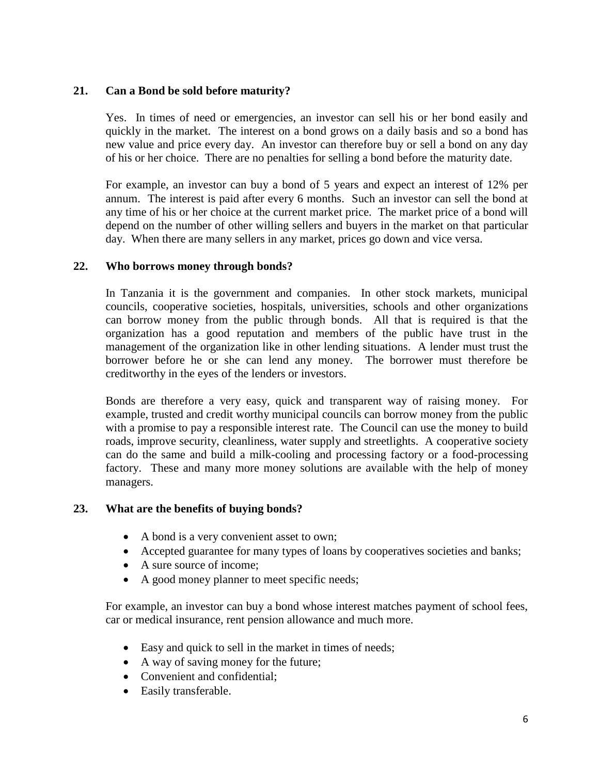## **21. Can a Bond be sold before maturity?**

Yes. In times of need or emergencies, an investor can sell his or her bond easily and quickly in the market. The interest on a bond grows on a daily basis and so a bond has new value and price every day. An investor can therefore buy or sell a bond on any day of his or her choice. There are no penalties for selling a bond before the maturity date.

For example, an investor can buy a bond of 5 years and expect an interest of 12% per annum. The interest is paid after every 6 months. Such an investor can sell the bond at any time of his or her choice at the current market price. The market price of a bond will depend on the number of other willing sellers and buyers in the market on that particular day. When there are many sellers in any market, prices go down and vice versa.

## **22. Who borrows money through bonds?**

In Tanzania it is the government and companies. In other stock markets, municipal councils, cooperative societies, hospitals, universities, schools and other organizations can borrow money from the public through bonds. All that is required is that the organization has a good reputation and members of the public have trust in the management of the organization like in other lending situations. A lender must trust the borrower before he or she can lend any money. The borrower must therefore be creditworthy in the eyes of the lenders or investors.

Bonds are therefore a very easy, quick and transparent way of raising money. For example, trusted and credit worthy municipal councils can borrow money from the public with a promise to pay a responsible interest rate. The Council can use the money to build roads, improve security, cleanliness, water supply and streetlights. A cooperative society can do the same and build a milk-cooling and processing factory or a food-processing factory. These and many more money solutions are available with the help of money managers.

### **23. What are the benefits of buying bonds?**

- A bond is a very convenient asset to own;
- Accepted guarantee for many types of loans by cooperatives societies and banks;
- A sure source of income;
- A good money planner to meet specific needs;

For example, an investor can buy a bond whose interest matches payment of school fees, car or medical insurance, rent pension allowance and much more.

- Easy and quick to sell in the market in times of needs;
- A way of saving money for the future;
- Convenient and confidential:
- Easily transferable.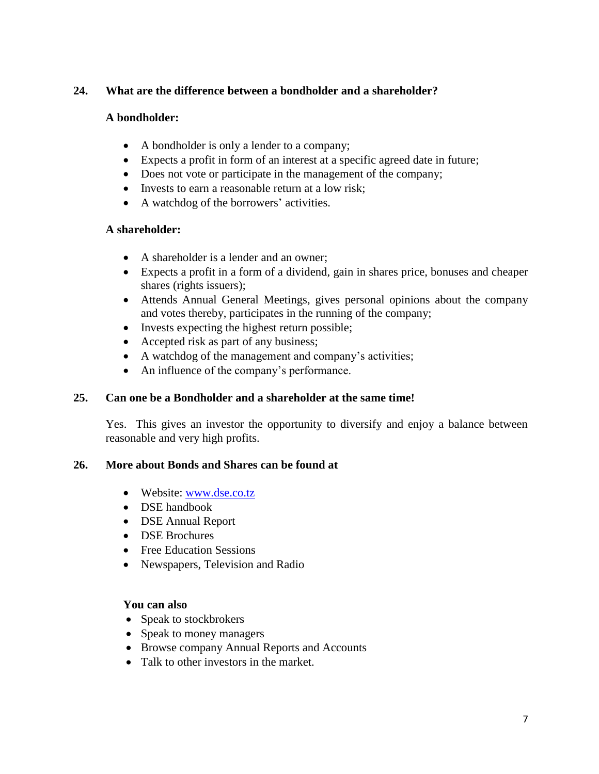# **24. What are the difference between a bondholder and a shareholder?**

## **A bondholder:**

- A bondholder is only a lender to a company;
- Expects a profit in form of an interest at a specific agreed date in future;
- Does not vote or participate in the management of the company;
- Invests to earn a reasonable return at a low risk;
- A watchdog of the borrowers' activities.

## **A shareholder:**

- A shareholder is a lender and an owner;
- Expects a profit in a form of a dividend, gain in shares price, bonuses and cheaper shares (rights issuers);
- Attends Annual General Meetings, gives personal opinions about the company and votes thereby, participates in the running of the company;
- Invests expecting the highest return possible;
- Accepted risk as part of any business;
- A watchdog of the management and company's activities;
- An influence of the company's performance.

## **25. Can one be a Bondholder and a shareholder at the same time!**

Yes. This gives an investor the opportunity to diversify and enjoy a balance between reasonable and very high profits.

## **26. More about Bonds and Shares can be found at**

- Website: [www.dse.co.tz](http://www.dse.co.tz/)
- DSE handbook
- DSE Annual Report
- **DSE Brochures**
- Free Education Sessions
- Newspapers, Television and Radio

### **You can also**

- Speak to stockbrokers
- Speak to money managers
- Browse company Annual Reports and Accounts
- Talk to other investors in the market.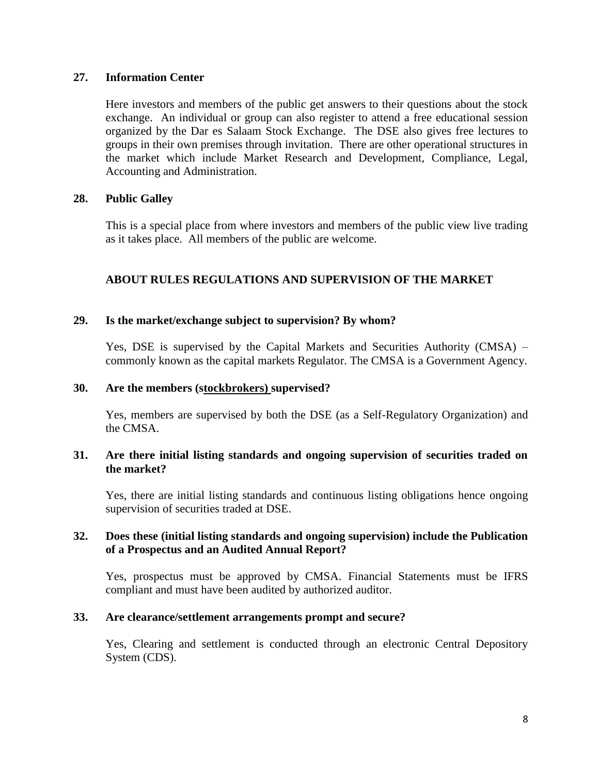### **27. Information Center**

Here investors and members of the public get answers to their questions about the stock exchange. An individual or group can also register to attend a free educational session organized by the Dar es Salaam Stock Exchange. The DSE also gives free lectures to groups in their own premises through invitation. There are other operational structures in the market which include Market Research and Development, Compliance, Legal, Accounting and Administration.

### **28. Public Galley**

This is a special place from where investors and members of the public view live trading as it takes place. All members of the public are welcome.

## **ABOUT RULES REGULATIONS AND SUPERVISION OF THE MARKET**

#### **29. Is the market/exchange subject to supervision? By whom?**

Yes, DSE is supervised by the Capital Markets and Securities Authority (CMSA) – commonly known as the capital markets Regulator. The CMSA is a Government Agency.

#### **30. Are the members (stockbrokers) supervised?**

Yes, members are supervised by both the DSE (as a Self-Regulatory Organization) and the CMSA.

### **31. Are there initial listing standards and ongoing supervision of securities traded on the market?**

Yes, there are initial listing standards and continuous listing obligations hence ongoing supervision of securities traded at DSE.

### **32. Does these (initial listing standards and ongoing supervision) include the Publication of a Prospectus and an Audited Annual Report?**

Yes, prospectus must be approved by CMSA. Financial Statements must be IFRS compliant and must have been audited by authorized auditor.

#### **33. Are clearance/settlement arrangements prompt and secure?**

Yes, Clearing and settlement is conducted through an electronic Central Depository System (CDS).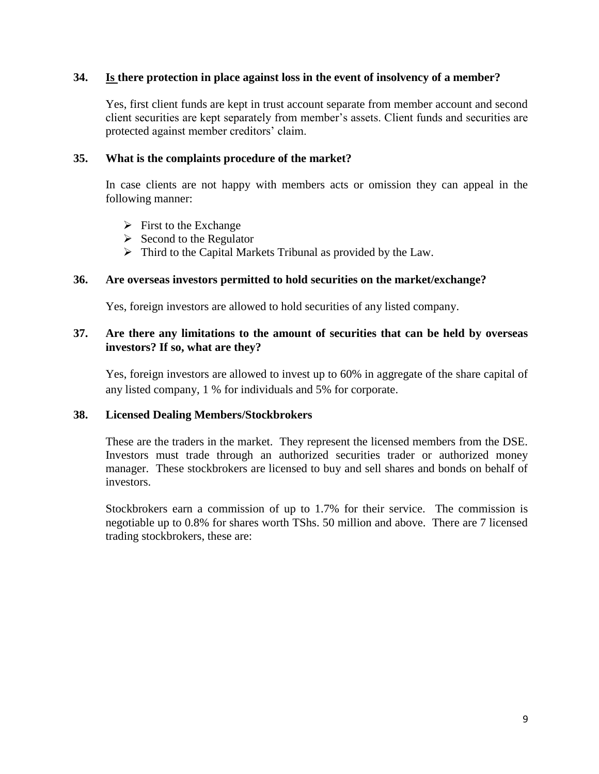### **34. Is there protection in place against loss in the event of insolvency of a member?**

Yes, first client funds are kept in trust account separate from member account and second client securities are kept separately from member's assets. Client funds and securities are protected against member creditors' claim.

#### **35. What is the complaints procedure of the market?**

In case clients are not happy with members acts or omission they can appeal in the following manner:

- $\triangleright$  First to the Exchange
- $\triangleright$  Second to the Regulator
- $\triangleright$  Third to the Capital Markets Tribunal as provided by the Law.

### **36. Are overseas investors permitted to hold securities on the market/exchange?**

Yes, foreign investors are allowed to hold securities of any listed company.

### **37. Are there any limitations to the amount of securities that can be held by overseas investors? If so, what are they?**

Yes, foreign investors are allowed to invest up to 60% in aggregate of the share capital of any listed company, 1 % for individuals and 5% for corporate.

### **38. Licensed Dealing Members/Stockbrokers**

These are the traders in the market. They represent the licensed members from the DSE. Investors must trade through an authorized securities trader or authorized money manager. These stockbrokers are licensed to buy and sell shares and bonds on behalf of investors.

Stockbrokers earn a commission of up to 1.7% for their service. The commission is negotiable up to 0.8% for shares worth TShs. 50 million and above. There are 7 licensed trading stockbrokers, these are: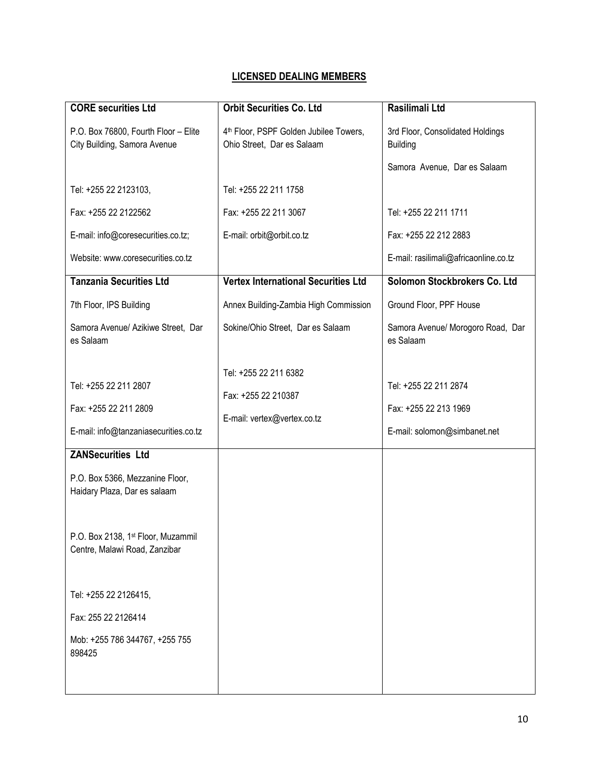# **LICENSED DEALING MEMBERS**

| <b>CORE</b> securities Ltd                                                              | <b>Orbit Securities Co. Ltd</b>                                             | Rasilimali Ltd                                                                 |
|-----------------------------------------------------------------------------------------|-----------------------------------------------------------------------------|--------------------------------------------------------------------------------|
| P.O. Box 76800, Fourth Floor - Elite<br>City Building, Samora Avenue                    | 4th Floor, PSPF Golden Jubilee Towers,<br>Ohio Street, Dar es Salaam        | 3rd Floor, Consolidated Holdings<br><b>Building</b>                            |
|                                                                                         |                                                                             | Samora Avenue, Dar es Salaam                                                   |
| Tel: +255 22 2123103,                                                                   | Tel: +255 22 211 1758                                                       |                                                                                |
| Fax: +255 22 2122562                                                                    | Fax: +255 22 211 3067                                                       | Tel: +255 22 211 1711                                                          |
| E-mail: info@coresecurities.co.tz;                                                      | E-mail: orbit@orbit.co.tz                                                   | Fax: +255 22 212 2883                                                          |
| Website: www.coresecurities.co.tz                                                       |                                                                             | E-mail: rasilimali@africaonline.co.tz                                          |
| <b>Tanzania Securities Ltd</b>                                                          | <b>Vertex International Securities Ltd</b>                                  | Solomon Stockbrokers Co. Ltd                                                   |
| 7th Floor, IPS Building                                                                 | Annex Building-Zambia High Commission                                       | Ground Floor, PPF House                                                        |
| Samora Avenue/ Azikiwe Street, Dar<br>es Salaam                                         | Sokine/Ohio Street, Dar es Salaam                                           | Samora Avenue/ Morogoro Road, Dar<br>es Salaam                                 |
| Tel: +255 22 211 2807<br>Fax: +255 22 211 2809<br>E-mail: info@tanzaniasecurities.co.tz | Tel: +255 22 211 6382<br>Fax: +255 22 210387<br>E-mail: vertex@vertex.co.tz | Tel: +255 22 211 2874<br>Fax: +255 22 213 1969<br>E-mail: solomon@simbanet.net |
| <b>ZANSecurities Ltd</b>                                                                |                                                                             |                                                                                |
| P.O. Box 5366, Mezzanine Floor,<br>Haidary Plaza, Dar es salaam                         |                                                                             |                                                                                |
| P.O. Box 2138, 1st Floor, Muzammil<br>Centre, Malawi Road, Zanzibar                     |                                                                             |                                                                                |
| Tel: +255 22 2126415,                                                                   |                                                                             |                                                                                |
| Fax: 255 22 2126414                                                                     |                                                                             |                                                                                |
| Mob: +255 786 344767, +255 755<br>898425                                                |                                                                             |                                                                                |
|                                                                                         |                                                                             |                                                                                |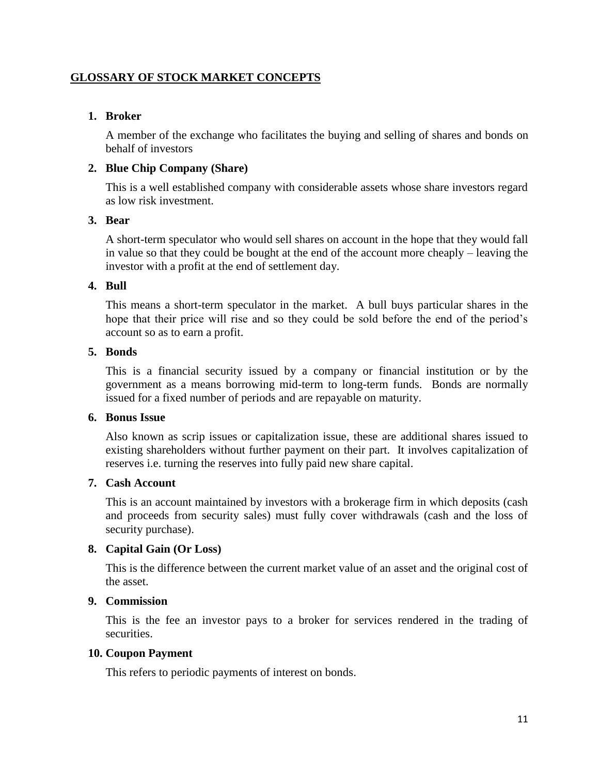## **GLOSSARY OF STOCK MARKET CONCEPTS**

#### **1. Broker**

A member of the exchange who facilitates the buying and selling of shares and bonds on behalf of investors

#### **2. Blue Chip Company (Share)**

This is a well established company with considerable assets whose share investors regard as low risk investment.

#### **3. Bear**

A short-term speculator who would sell shares on account in the hope that they would fall in value so that they could be bought at the end of the account more cheaply – leaving the investor with a profit at the end of settlement day.

#### **4. Bull**

This means a short-term speculator in the market. A bull buys particular shares in the hope that their price will rise and so they could be sold before the end of the period's account so as to earn a profit.

### **5. Bonds**

This is a financial security issued by a company or financial institution or by the government as a means borrowing mid-term to long-term funds. Bonds are normally issued for a fixed number of periods and are repayable on maturity.

#### **6. Bonus Issue**

Also known as scrip issues or capitalization issue, these are additional shares issued to existing shareholders without further payment on their part. It involves capitalization of reserves i.e. turning the reserves into fully paid new share capital.

### **7. Cash Account**

This is an account maintained by investors with a brokerage firm in which deposits (cash and proceeds from security sales) must fully cover withdrawals (cash and the loss of security purchase).

### **8. Capital Gain (Or Loss)**

This is the difference between the current market value of an asset and the original cost of the asset.

### **9. Commission**

This is the fee an investor pays to a broker for services rendered in the trading of securities.

#### **10. Coupon Payment**

This refers to periodic payments of interest on bonds.